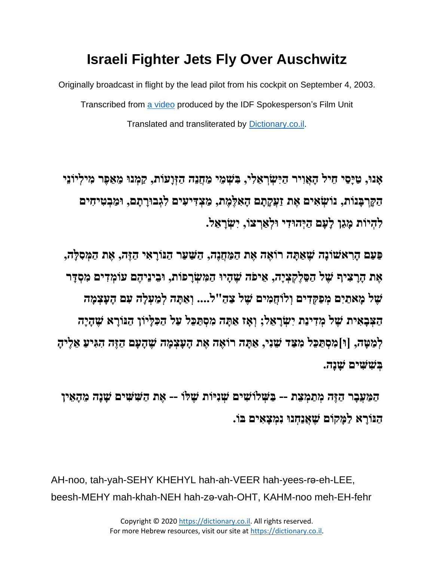## **Israeli Fighter Jets Fly Over Auschwitz**

Originally broadcast in flight by the lead pilot from his cockpit on September 4, 2003. Transcribed from [a video](https://youtu.be/2UVMXy8iVZ8) produced by the IDF Spokesperson's Film Unit Translated and transliterated by [Dictionary.co.il.](http://www.dictionary.co.il/)

**, בִ שְׂ מֵ י מַ חֲנֵה הַ זְׂוָעֹות, קַ מְׂ נּו מֵ אֵ פֶר מִ ילְׂ יֹונֵי ָאנּו, ַטָיֵסי ֵחיל ָה ֲאִויר ַהִי ְׂשְׂר ֵא ִלי הַ קָ רְׂ בָ נֹות, נֹושְׂ אִ ים אֶ ת זַעֲקָ תָ ם הָ אִ לֶמֶ ת, מַ צְׂ דִ יעִ ים לִ גְׂ בּורָ תָ ם , ּומַ בְׂ טִ יחִ ים לִ הְׂ יֹות מָ גֵן לָעָם ַהְׂיהּו ִדי ּולְׂ אַ רְׂ צֹו , יִשְׂ רָ אֵ ל.**

**פַ עַם הָ רִ אשֹונָה שֶ אַ תָ ה רֹואֶ ה אֶ ת הַ מַ חֲנֶה, הַ שַ עַר הַ ּנֹורָ אִ י הַ זֶה, אֶ ת הַ מְׂ סִ לָה, אֶ ת הָ רָ צִ יף שֶ ל הַ סֵ לֶקְׂ צְׂ יָה, אֵ יפֹה שֶ הָ יּו הַ מִ שְׂ רָ פֹות , ּובֵ ינֵיהֶ ם עֹומְׂ דִ ים מִ סְׂ דָ ר שֶ ל מָ אתַ יִם מְׂ פַקְׂ דִ ים וְׂ לֹוחֲמִ ים שֶ ל צַ הַ "ל... . וְׂ אַ תָ ה לְׂ מַ עְׂ לָה עִ ם הָ עָצְׂ מָ ה הַ צְׂ בָ אִ ית שֶ ל מְׂ דִ ינַת יִשְׂ רָ אֵ ל; וְׂ אָ ז אַ תָ ה מִ סְׂ תַ כֵל עַל הַ כִ לָיֹון הַ ּנֹורָ א שֶ הָ יָה לְׂ מַ טָ ה, ]ּו[מִ סְׂ תַ כֵל מִ צַ ד שֵ נִי, אַ תָ ה רֹואֶ ה אֶ ת הָ עָצְׂ מָ ה שֶ הָ עָם הַ זֶה הִ גִ יעַ אֵ לֶיהָ בְׂ שִ שִ ים שָ נָה.** 

**הַ מַ עֲבָ ר הַ זֶה מְׂ תַ מְׂ צֵ ת -- בַ שְׂ לֹושִ ים שְׂ נִיֹות שֶ לֹו -- אֶ ת הַ שִ שִ ים שָ נָה מֵ הָ אֵ ין הַ ּנֹורָ א לַמָ קֹום שֶ אֲנַחְׂ נּו נִמְׂ צָ אִ ים בֹו.** 

AH-noo, tah-yah-SEHY KHEHYL hah-ah-VEER hah-yees-ra-eh-LEE, beesh-MEHY mah-khah-NEH hah-zǝ-vah-OHT, KAHM-noo meh-EH-fehr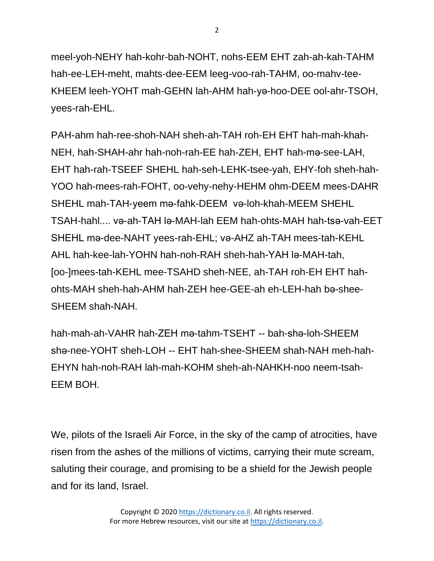meel-yoh-NEHY hah-kohr-bah-NOHT, nohs-EEM EHT zah-ah-kah-TAHM hah-ee-LEH-meht, mahts-dee-EEM leeg-voo-rah-TAHM, oo-mahv-tee-KHEEM leeh-YOHT mah-GEHN lah-AHM hah-yǝ-hoo-DEE ool-ahr-TSOH, yees-rah-EHL.

PAH-ahm hah-ree-shoh-NAH sheh-ah-TAH roh-EH EHT hah-mah-khah-NEH, hah-SHAH-ahr hah-noh-rah-EE hah-ZEH, EHT hah-mǝ-see-LAH, EHT hah-rah-TSEEF SHEHL hah-seh-LEHK-tsee-yah, EHY-foh sheh-hah-YOO hah-mees-rah-FOHT, oo-vehy-nehy-HEHM ohm-DEEM mees-DAHR SHEHL mah-TAH-yeem mǝ-fahk-DEEM vǝ-loh-khah-MEEM SHEHL TSAH-hahl.... vǝ-ah-TAH lǝ-MAH-lah EEM hah-ohts-MAH hah-tsǝ-vah-EET SHEHL ma-dee-NAHT yees-rah-EHL; va-AHZ ah-TAH mees-tah-KEHL AHL hah-kee-lah-YOHN hah-noh-RAH sheh-hah-YAH lǝ-MAH-tah, [oo-]mees-tah-KEHL mee-TSAHD sheh-NEE, ah-TAH roh-EH EHT hahohts-MAH sheh-hah-AHM hah-ZEH hee-GEE-ah eh-LEH-hah bǝ-shee-SHEEM shah-NAH.

hah-mah-ah-VAHR hah-ZEH mǝ-tahm-TSEHT -- bah-shǝ-loh-SHEEM shǝ-nee-YOHT sheh-LOH -- EHT hah-shee-SHEEM shah-NAH meh-hah-EHYN hah-noh-RAH lah-mah-KOHM sheh-ah-NAHKH-noo neem-tsah-EEM BOH.

We, pilots of the Israeli Air Force, in the sky of the camp of atrocities, have risen from the ashes of the millions of victims, carrying their mute scream, saluting their courage, and promising to be a shield for the Jewish people and for its land, Israel.